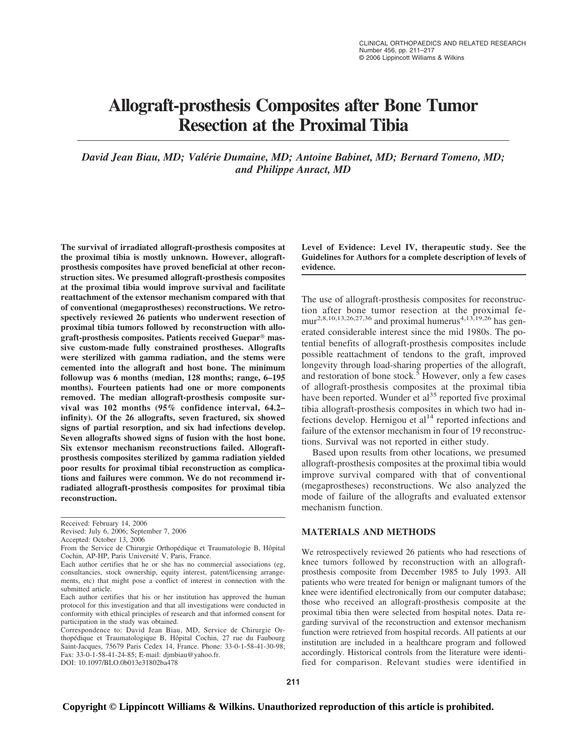# **Allograft-prosthesis Composites after Bone Tumor Resection at the Proximal Tibia**

*David Jean Biau, MD; Valérie Dumaine, MD; Antoine Babinet, MD; Bernard Tomeno, MD; and Philippe Anract, MD*

**The survival of irradiated allograft-prosthesis composites at the proximal tibia is mostly unknown. However, allograftprosthesis composites have proved beneficial at other reconstruction sites. We presumed allograft-prosthesis composites at the proximal tibia would improve survival and facilitate reattachment of the extensor mechanism compared with that of conventional (megaprostheses) reconstructions. We retrospectively reviewed 26 patients who underwent resection of proximal tibia tumors followed by reconstruction with allo**graft-prosthesis composites. Patients received Guepar<sup>®</sup> mas**sive custom-made fully constrained prostheses. Allografts were sterilized with gamma radiation, and the stems were cemented into the allograft and host bone. The minimum followup was 6 months (median, 128 months; range, 6–195 months). Fourteen patients had one or more components removed. The median allograft-prosthesis composite survival was 102 months (95% confidence interval, 64.2– infinity). Of the 26 allografts, seven fractured, six showed signs of partial resorption, and six had infections develop. Seven allografts showed signs of fusion with the host bone. Six extensor mechanism reconstructions failed. Allograftprosthesis composites sterilized by gamma radiation yielded poor results for proximal tibial reconstruction as complications and failures were common. We do not recommend irradiated allograft-prosthesis composites for proximal tibia reconstruction.**

**Level of Evidence: Level IV, therapeutic study. See the Guidelines for Authors for a complete description of levels of evidence.**

The use of allograft-prosthesis composites for reconstruction after bone tumor resection at the proximal femur<sup>2,8,10,13,26,27,36</sup> and proximal humerus<sup>4,13,19,26</sup> has generated considerable interest since the mid 1980s. The potential benefits of allograft-prosthesis composites include possible reattachment of tendons to the graft, improved longevity through load-sharing properties of the allograft, and restoration of bone stock.<sup>5</sup> However, only a few cases of allograft-prosthesis composites at the proximal tibia have been reported. Wunder et  $al<sup>35</sup>$  reported five proximal tibia allograft-prosthesis composites in which two had infections develop. Hernigou et  $al<sup>14</sup>$  reported infections and failure of the extensor mechanism in four of 19 reconstructions. Survival was not reported in either study.

Based upon results from other locations, we presumed allograft-prosthesis composites at the proximal tibia would improve survival compared with that of conventional (megaprostheses) reconstructions. We also analyzed the mode of failure of the allografts and evaluated extensor mechanism function.

## **MATERIALS AND METHODS**

We retrospectively reviewed 26 patients who had resections of knee tumors followed by reconstruction with an allograftprosthesis composite from December 1985 to July 1993. All patients who were treated for benign or malignant tumors of the knee were identified electronically from our computer database; those who received an allograft-prosthesis composite at the proximal tibia then were selected from hospital notes. Data regarding survival of the reconstruction and extensor mechanism function were retrieved from hospital records. All patients at our institution are included in a healthcare program and followed accordingly. Historical controls from the literature were identified for comparison. Relevant studies were identified in

Received: February 14, 2006

Revised: July 6, 2006; September 7, 2006

Accepted: October 13, 2006

From the Service de Chirurgie Orthopédique et Traumatologie B, Hôpital Cochin, AP-HP, Paris Université V, Paris, France.

Each author certifies that he or she has no commercial associations (eg, consultancies, stock ownership, equity interest, patent/licensing arrangements, etc) that might pose a conflict of interest in connection with the submitted article.

Each author certifies that his or her institution has approved the human protocol for this investigation and that all investigations were conducted in conformity with ethical principles of research and that informed consent for participation in the study was obtained.

Correspondence to: David Jean Biau, MD, Service de Chirurgie Orthopédique et Traumatologique B, Hôpital Cochin, 27 rue du Faubourg Saint-Jacques, 75679 Paris Cedex 14, France. Phone: 33-0-1-58-41-30-98; Fax: 33-0-1-58-41-24-85; E-mail: djmbiau@yahoo.fr. DOI: 10.1097/BLO.0b013e31802ba478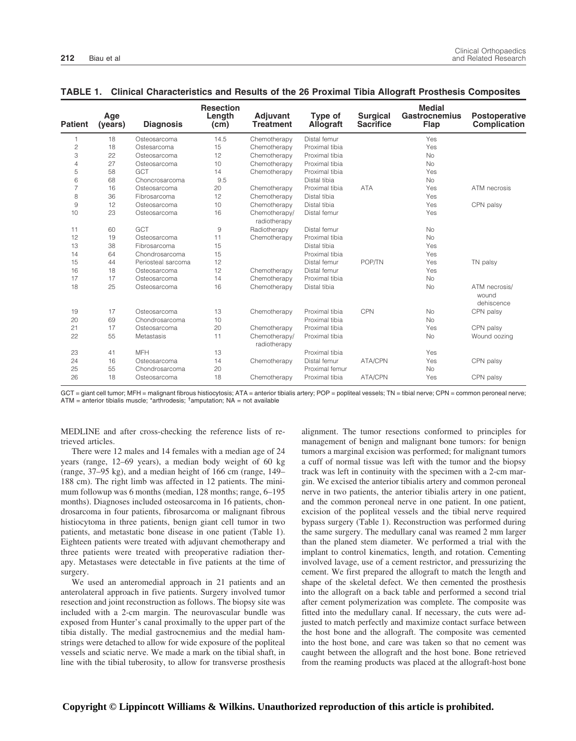| <b>Patient</b> | Age<br>(years) | <b>Diagnosis</b>   | <b>Resection</b><br>Length<br>(cm) | Adjuvant<br><b>Treatment</b>  | Type of<br><b>Allograft</b> | <b>Surgical</b><br><b>Sacrifice</b> | <b>Medial</b><br><b>Gastrocnemius</b><br><b>Flap</b> | <b>Postoperative</b><br><b>Complication</b> |
|----------------|----------------|--------------------|------------------------------------|-------------------------------|-----------------------------|-------------------------------------|------------------------------------------------------|---------------------------------------------|
| 1              | 18             | Osteosarcoma       | 14.5                               | Chemotherapy                  | Distal femur                |                                     | Yes                                                  |                                             |
| $\overline{c}$ | 18             | Ostesarcoma        | 15                                 | Chemotherapy                  | Proximal tibia              |                                     | Yes                                                  |                                             |
| 3              | 22             | Osteosarcoma       | 12                                 | Chemotherapy                  | Proximal tibia              |                                     | <b>No</b>                                            |                                             |
| 4              | 27             | Osteosarcoma       | 10                                 | Chemotherapy                  | Proximal tibia              |                                     | <b>No</b>                                            |                                             |
| 5              | 58             | GCT                | 14                                 | Chemotherapy                  | Proximal tibia              |                                     | Yes                                                  |                                             |
| 6              | 68             | Choncrosarcoma     | 9.5                                |                               | Distal tibia                |                                     | <b>No</b>                                            |                                             |
| $\overline{7}$ | 16             | Osteosarcoma       | 20                                 | Chemotherapy                  | Proximal tibia              | <b>ATA</b>                          | Yes                                                  | ATM necrosis                                |
| 8              | 36             | Fibrosarcoma       | 12                                 | Chemotherapy                  | Distal tibia                |                                     | Yes                                                  |                                             |
| $\overline{9}$ | 12             | Osteosarcoma       | 10                                 | Chemotherapy                  | Distal tibia                |                                     | Yes                                                  | CPN palsy                                   |
| 10             | 23             | Osteosarcoma       | 16                                 | Chemotherapy/<br>radiotherapy | Distal femur                |                                     | Yes                                                  |                                             |
| 11             | 60             | GCT                | 9                                  | Radiotherapy                  | Distal femur                |                                     | <b>No</b>                                            |                                             |
| 12             | 19             | Osteosarcoma       | 11                                 | Chemotherapy                  | Proximal tibia              |                                     | No                                                   |                                             |
| 13             | 38             | Fibrosarcoma       | 15                                 |                               | Distal tibia                |                                     | Yes                                                  |                                             |
| 14             | 64             | Chondrosarcoma     | 15                                 |                               | Proximal tibia              |                                     | Yes                                                  |                                             |
| 15             | 44             | Periosteal sarcoma | 12                                 |                               | Distal femur                | POP/TN                              | Yes                                                  | TN palsy                                    |
| 16             | 18             | Osteosarcoma       | 12                                 | Chemotherapy                  | Distal femur                |                                     | Yes                                                  |                                             |
| 17             | 17             | Osteosarcoma       | 14                                 | Chemotherapy                  | Proximal tibia              |                                     | <b>No</b>                                            |                                             |
| 18             | 25             | Osteosarcoma       | 16                                 | Chemotherapy                  | Distal tibia                |                                     | No                                                   | ATM necrosis/<br>wound<br>dehiscence        |
| 19             | 17             | Osteosarcoma       | 13                                 | Chemotherapy                  | Proximal tibia              | CPN                                 | <b>No</b>                                            | CPN palsy                                   |
| 20             | 69             | Chondrosarcoma     | 10                                 |                               | Proximal tibia              |                                     | <b>No</b>                                            |                                             |
| 21             | 17             | Osteosarcoma       | 20                                 | Chemotherapy                  | Proximal tibia              |                                     | Yes                                                  | CPN palsy                                   |
| 22             | 55             | Metastasis         | 11                                 | Chemotherapy/<br>radiotherapy | Proximal tibia              |                                     | No                                                   | Wound oozing                                |
| 23             | 41             | <b>MFH</b>         | 13                                 |                               | Proximal tibia              |                                     | Yes                                                  |                                             |
| 24             | 16             | Osteosarcoma       | 14                                 | Chemotherapy                  | Distal femur                | ATA/CPN                             | Yes                                                  | CPN palsy                                   |
| 25             | 55             | Chondrosarcoma     | 20                                 |                               | Proximal femur              |                                     | No                                                   |                                             |
| 26             | 18             | Osteosarcoma       | 18                                 | Chemotherapy                  | Proximal tibia              | ATA/CPN                             | Yes                                                  | CPN palsy                                   |

### **TABLE 1. Clinical Characteristics and Results of the 26 Proximal Tibia Allograft Prosthesis Composites**

GCT = giant cell tumor; MFH = malignant fibrous histiocytosis; ATA = anterior tibialis artery; POP = popliteal vessels; TN = tibial nerve; CPN = common peroneal nerve;  $ATM =$  anterior tibialis muscle; \*arthrodesis;  $tan$ putation;  $NA =$  not available

MEDLINE and after cross-checking the reference lists of retrieved articles.

There were 12 males and 14 females with a median age of 24 years (range, 12–69 years), a median body weight of 60 kg (range, 37–95 kg), and a median height of 166 cm (range, 149– 188 cm). The right limb was affected in 12 patients. The minimum followup was 6 months (median, 128 months; range, 6–195 months). Diagnoses included osteosarcoma in 16 patients, chondrosarcoma in four patients, fibrosarcoma or malignant fibrous histiocytoma in three patients, benign giant cell tumor in two patients, and metastatic bone disease in one patient (Table 1). Eighteen patients were treated with adjuvant chemotherapy and three patients were treated with preoperative radiation therapy. Metastases were detectable in five patients at the time of surgery.

We used an anteromedial approach in 21 patients and an anterolateral approach in five patients. Surgery involved tumor resection and joint reconstruction as follows. The biopsy site was included with a 2-cm margin. The neurovascular bundle was exposed from Hunter's canal proximally to the upper part of the tibia distally. The medial gastrocnemius and the medial hamstrings were detached to allow for wide exposure of the popliteal vessels and sciatic nerve. We made a mark on the tibial shaft, in line with the tibial tuberosity, to allow for transverse prosthesis alignment. The tumor resections conformed to principles for management of benign and malignant bone tumors: for benign tumors a marginal excision was performed; for malignant tumors a cuff of normal tissue was left with the tumor and the biopsy track was left in continuity with the specimen with a 2-cm margin. We excised the anterior tibialis artery and common peroneal nerve in two patients, the anterior tibialis artery in one patient, and the common peroneal nerve in one patient. In one patient, excision of the popliteal vessels and the tibial nerve required bypass surgery (Table 1). Reconstruction was performed during the same surgery. The medullary canal was reamed 2 mm larger than the planed stem diameter. We performed a trial with the implant to control kinematics, length, and rotation. Cementing involved lavage, use of a cement restrictor, and pressurizing the cement. We first prepared the allograft to match the length and shape of the skeletal defect. We then cemented the prosthesis into the allograft on a back table and performed a second trial after cement polymerization was complete. The composite was fitted into the medullary canal. If necessary, the cuts were adjusted to match perfectly and maximize contact surface between the host bone and the allograft. The composite was cemented into the host bone, and care was taken so that no cement was caught between the allograft and the host bone. Bone retrieved from the reaming products was placed at the allograft-host bone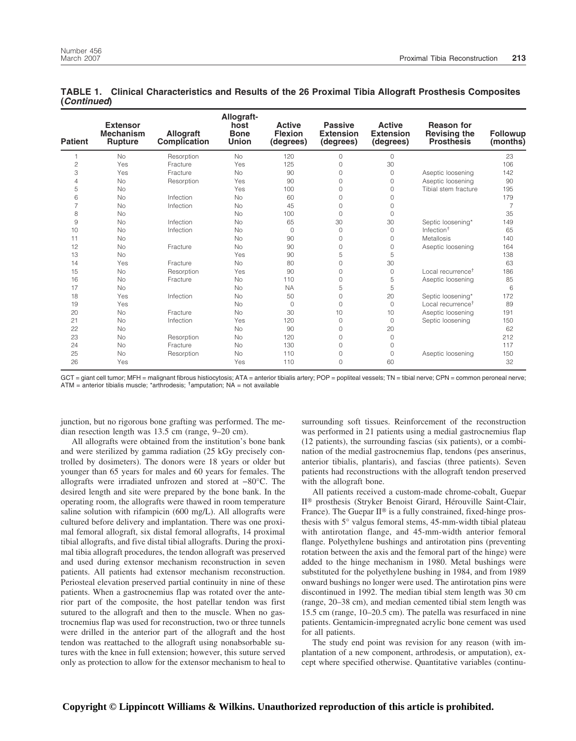| <b>Patient</b> | <b>Extensor</b><br><b>Mechanism</b><br><b>Rupture</b> | <b>Allograft</b><br>Complication | Allograft-<br>host<br><b>Bone</b><br><b>Union</b> | <b>Active</b><br><b>Flexion</b><br>(degrees) | <b>Passive</b><br><b>Extension</b><br>(degrees) | <b>Active</b><br><b>Extension</b><br>(degrees) | <b>Reason for</b><br><b>Revising the</b><br><b>Prosthesis</b> | <b>Followup</b><br>(months) |
|----------------|-------------------------------------------------------|----------------------------------|---------------------------------------------------|----------------------------------------------|-------------------------------------------------|------------------------------------------------|---------------------------------------------------------------|-----------------------------|
| $\mathbf 1$    | <b>No</b>                                             | Resorption                       | <b>No</b>                                         | 120                                          | $\Omega$                                        | 0                                              |                                                               | 23                          |
| $\mathbf{2}$   | Yes                                                   | Fracture                         | Yes                                               | 125                                          | 0                                               | 30                                             |                                                               | 106                         |
| 3              | Yes                                                   | Fracture                         | <b>No</b>                                         | 90                                           | $\Omega$                                        | $\circ$                                        | Aseptic loosening                                             | 142                         |
| $\overline{4}$ | <b>No</b>                                             | Resorption                       | Yes                                               | 90                                           | 0                                               | $\circ$                                        | Aseptic loosening                                             | 90                          |
| 5              | <b>No</b>                                             |                                  | Yes                                               | 100                                          | 0                                               | $\Omega$                                       | Tibial stem fracture                                          | 195                         |
| 6              | <b>No</b>                                             | Infection                        | <b>No</b>                                         | 60                                           | 0                                               | 0                                              |                                                               | 179                         |
| $\overline{7}$ | No                                                    | Infection                        | <b>No</b>                                         | 45                                           | $\Omega$                                        | 0                                              |                                                               | $\overline{7}$              |
| 8              | <b>No</b>                                             |                                  | <b>No</b>                                         | 100                                          | $\Omega$                                        | 0                                              |                                                               | 35                          |
| 9              | No                                                    | Infection                        | <b>No</b>                                         | 65                                           | 30                                              | 30                                             | Septic loosening*                                             | 149                         |
| 10             | <b>No</b>                                             | Infection                        | <b>No</b>                                         | $\circ$                                      | $\Omega$                                        | $\circ$                                        | Infection $†$                                                 | 65                          |
| 11             | <b>No</b>                                             |                                  | <b>No</b>                                         | 90                                           | 0                                               | $\Omega$                                       | <b>Metallosis</b>                                             | 140                         |
| 12             | <b>No</b>                                             | Fracture                         | <b>No</b>                                         | 90                                           | 0                                               | 0                                              | Aseptic loosening                                             | 164                         |
| 13             | <b>No</b>                                             |                                  | Yes                                               | 90                                           | 5                                               | 5                                              |                                                               | 138                         |
| 14             | Yes                                                   | Fracture                         | <b>No</b>                                         | 80                                           | 0                                               | 30                                             |                                                               | 63                          |
| 15             | <b>No</b>                                             | Resorption                       | Yes                                               | 90                                           | $\Omega$                                        | $\circ$                                        | Local recurrence <sup>t</sup>                                 | 186                         |
| 16             | <b>No</b>                                             | Fracture                         | <b>No</b>                                         | 110                                          | 0                                               | 5                                              | Aseptic loosening                                             | 85                          |
| 17             | <b>No</b>                                             |                                  | <b>No</b>                                         | <b>NA</b>                                    | 5                                               | 5                                              |                                                               | 6                           |
| 18             | Yes                                                   | Infection                        | <b>No</b>                                         | 50                                           | $\Omega$                                        | 20                                             | Septic loosening*                                             | 172                         |
| 19             | Yes                                                   |                                  | <b>No</b>                                         | $\circ$                                      | $\Omega$                                        | $\circ$                                        | Local recurrence <sup>+</sup>                                 | 89                          |
| 20             | <b>No</b>                                             | Fracture                         | <b>No</b>                                         | 30                                           | 10                                              | 10                                             | Aseptic loosening                                             | 191                         |
| 21             | <b>No</b>                                             | Infection                        | Yes                                               | 120                                          | 0                                               | $\circ$                                        | Septic loosening                                              | 150                         |
| 22             | <b>No</b>                                             |                                  | <b>No</b>                                         | 90                                           | 0                                               | 20                                             |                                                               | 62                          |
| 23             | <b>No</b>                                             | Resorption                       | <b>No</b>                                         | 120                                          | 0                                               | $\circ$                                        |                                                               | 212                         |
| 24             | No                                                    | Fracture                         | <b>No</b>                                         | 130                                          | 0                                               | $\Omega$                                       |                                                               | 117                         |
| 25             | No                                                    | Resorption                       | <b>No</b>                                         | 110                                          | 0                                               | 0                                              | Aseptic loosening                                             | 150                         |
| 26             | Yes                                                   |                                  | Yes                                               | 110                                          | 0                                               | 60                                             |                                                               | 32                          |

#### **TABLE 1. Clinical Characteristics and Results of the 26 Proximal Tibia Allograft Prosthesis Composites (***Continued***)**

GCT = giant cell tumor; MFH = malignant fibrous histiocytosis; ATA = anterior tibialis artery; POP = popliteal vessels; TN = tibial nerve; CPN = common peroneal nerve;  $ATM =$  anterior tibialis muscle; \*arthrodesis;  $tan$ putation;  $NA =$  not available

junction, but no rigorous bone grafting was performed. The median resection length was 13.5 cm (range, 9–20 cm).

All allografts were obtained from the institution's bone bank and were sterilized by gamma radiation (25 kGy precisely controlled by dosimeters). The donors were 18 years or older but younger than 65 years for males and 60 years for females. The allografts were irradiated unfrozen and stored at −80°C. The desired length and site were prepared by the bone bank. In the operating room, the allografts were thawed in room temperature saline solution with rifampicin (600 mg/L). All allografts were cultured before delivery and implantation. There was one proximal femoral allograft, six distal femoral allografts, 14 proximal tibial allografts, and five distal tibial allografts. During the proximal tibia allograft procedures, the tendon allograft was preserved and used during extensor mechanism reconstruction in seven patients. All patients had extensor mechanism reconstruction. Periosteal elevation preserved partial continuity in nine of these patients. When a gastrocnemius flap was rotated over the anterior part of the composite, the host patellar tendon was first sutured to the allograft and then to the muscle. When no gastrocnemius flap was used for reconstruction, two or three tunnels were drilled in the anterior part of the allograft and the host tendon was reattached to the allograft using nonabsorbable sutures with the knee in full extension; however, this suture served only as protection to allow for the extensor mechanism to heal to surrounding soft tissues. Reinforcement of the reconstruction was performed in 21 patients using a medial gastrocnemius flap (12 patients), the surrounding fascias (six patients), or a combination of the medial gastrocnemius flap, tendons (pes anserinus, anterior tibialis, plantaris), and fascias (three patients). Seven patients had reconstructions with the allograft tendon preserved with the allograft bone.

All patients received a custom-made chrome-cobalt, Guepar II<sup>®</sup> prosthesis (Stryker Benoist Girard, Hérouville Saint-Clair, France). The Guepar  $II^{\circledast}$  is a fully constrained, fixed-hinge prosthesis with 5° valgus femoral stems, 45-mm-width tibial plateau with antirotation flange, and 45-mm-width anterior femoral flange. Polyethylene bushings and antirotation pins (preventing rotation between the axis and the femoral part of the hinge) were added to the hinge mechanism in 1980. Metal bushings were substituted for the polyethylene bushing in 1984, and from 1989 onward bushings no longer were used. The antirotation pins were discontinued in 1992. The median tibial stem length was 30 cm (range, 20–38 cm), and median cemented tibial stem length was 15.5 cm (range, 10–20.5 cm). The patella was resurfaced in nine patients. Gentamicin-impregnated acrylic bone cement was used for all patients.

The study end point was revision for any reason (with implantation of a new component, arthrodesis, or amputation), except where specified otherwise. Quantitative variables (continu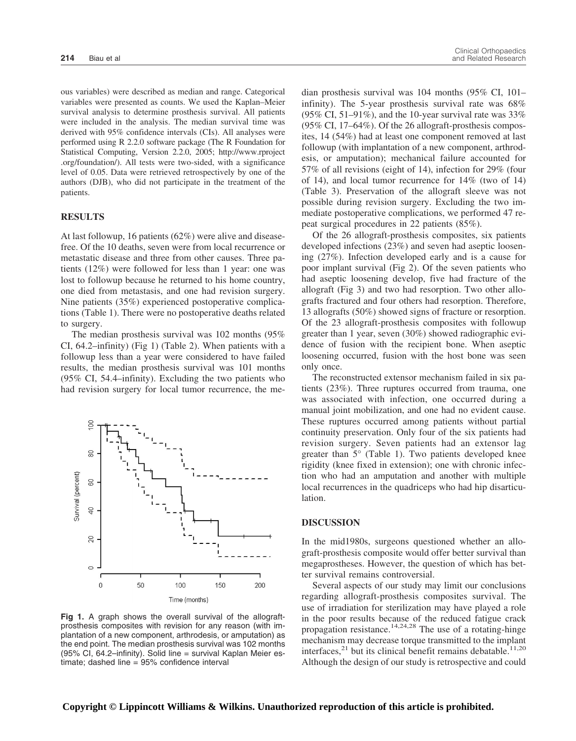ous variables) were described as median and range. Categorical variables were presented as counts. We used the Kaplan–Meier survival analysis to determine prosthesis survival. All patients were included in the analysis. The median survival time was derived with 95% confidence intervals (CIs). All analyses were performed using R 2.2.0 software package (The R Foundation for Statistical Computing, Version 2.2.0, 2005; http://www.rproject .org/foundation/). All tests were two-sided, with a significance level of 0.05. Data were retrieved retrospectively by one of the authors (DJB), who did not participate in the treatment of the patients.

#### **RESULTS**

At last followup, 16 patients (62%) were alive and diseasefree. Of the 10 deaths, seven were from local recurrence or metastatic disease and three from other causes. Three patients (12%) were followed for less than 1 year: one was lost to followup because he returned to his home country, one died from metastasis, and one had revision surgery. Nine patients (35%) experienced postoperative complications (Table 1). There were no postoperative deaths related to surgery.

The median prosthesis survival was 102 months (95% CI, 64.2–infinity) (Fig 1) (Table 2). When patients with a followup less than a year were considered to have failed results, the median prosthesis survival was 101 months (95% CI, 54.4–infinity). Excluding the two patients who had revision surgery for local tumor recurrence, the me-



**Fig 1.** A graph shows the overall survival of the allograftprosthesis composites with revision for any reason (with implantation of a new component, arthrodesis, or amputation) as the end point. The median prosthesis survival was 102 months (95% CI, 64.2–infinity). Solid line = survival Kaplan Meier estimate; dashed line = 95% confidence interval

dian prosthesis survival was 104 months (95% CI, 101– infinity). The 5-year prosthesis survival rate was 68% (95% CI, 51–91%), and the 10-year survival rate was  $33\%$ (95% CI, 17–64%). Of the 26 allograft-prosthesis composites, 14 (54%) had at least one component removed at last followup (with implantation of a new component, arthrodesis, or amputation); mechanical failure accounted for 57% of all revisions (eight of 14), infection for 29% (four of 14), and local tumor recurrence for 14% (two of 14) (Table 3). Preservation of the allograft sleeve was not possible during revision surgery. Excluding the two immediate postoperative complications, we performed 47 repeat surgical procedures in 22 patients (85%).

Of the 26 allograft-prosthesis composites, six patients developed infections (23%) and seven had aseptic loosening (27%). Infection developed early and is a cause for poor implant survival (Fig 2). Of the seven patients who had aseptic loosening develop, five had fracture of the allograft (Fig 3) and two had resorption. Two other allografts fractured and four others had resorption. Therefore, 13 allografts (50%) showed signs of fracture or resorption. Of the 23 allograft-prosthesis composites with followup greater than 1 year, seven (30%) showed radiographic evidence of fusion with the recipient bone. When aseptic loosening occurred, fusion with the host bone was seen only once.

The reconstructed extensor mechanism failed in six patients (23%). Three ruptures occurred from trauma, one was associated with infection, one occurred during a manual joint mobilization, and one had no evident cause. These ruptures occurred among patients without partial continuity preservation. Only four of the six patients had revision surgery. Seven patients had an extensor lag greater than 5° (Table 1). Two patients developed knee rigidity (knee fixed in extension); one with chronic infection who had an amputation and another with multiple local recurrences in the quadriceps who had hip disarticulation.

#### **DISCUSSION**

In the mid1980s, surgeons questioned whether an allograft-prosthesis composite would offer better survival than megaprostheses. However, the question of which has better survival remains controversial.

Several aspects of our study may limit our conclusions regarding allograft-prosthesis composites survival. The use of irradiation for sterilization may have played a role in the poor results because of the reduced fatigue crack propagation resistance. $14,24,28$  The use of a rotating-hinge mechanism may decrease torque transmitted to the implant interfaces, $^{21}$  but its clinical benefit remains debatable.<sup>11,20</sup> Although the design of our study is retrospective and could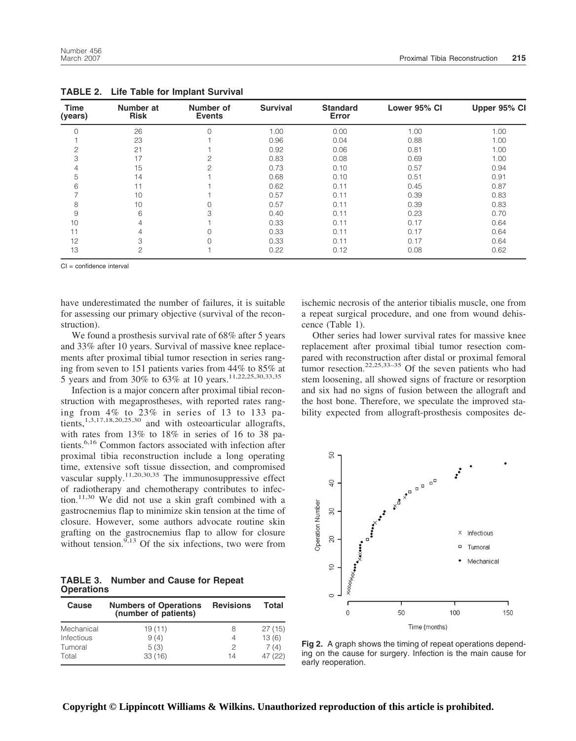| <b>Time</b><br>(years) | Number at<br><b>Risk</b> | Number of<br><b>Events</b> | <b>Survival</b> | <b>Standard</b><br>Error | Lower 95% CI | Upper 95% CI |
|------------------------|--------------------------|----------------------------|-----------------|--------------------------|--------------|--------------|
| $\Omega$               | 26                       |                            | 1.00            | 0.00                     | 1.00         | 1.00         |
|                        | 23                       |                            | 0.96            | 0.04                     | 0.88         | 1.00         |
| 2                      | 21                       |                            | 0.92            | 0.06                     | 0.81         | 1.00         |
| 3                      | 17                       |                            | 0.83            | 0.08                     | 0.69         | 1.00         |
| $\overline{4}$         | 15                       |                            | 0.73            | 0.10                     | 0.57         | 0.94         |
| 5                      | 14                       |                            | 0.68            | 0.10                     | 0.51         | 0.91         |
| 6                      | 11                       |                            | 0.62            | 0.11                     | 0.45         | 0.87         |
|                        | 10                       |                            | 0.57            | 0.11                     | 0.39         | 0.83         |
| 8                      | 10                       |                            | 0.57            | 0.11                     | 0.39         | 0.83         |
| 9                      | 6                        | З                          | 0.40            | 0.11                     | 0.23         | 0.70         |
| 10                     | 4                        |                            | 0.33            | 0.11                     | 0.17         | 0.64         |
| 11                     | 4                        |                            | 0.33            | 0.11                     | 0.17         | 0.64         |
| 12                     | 3                        |                            | 0.33            | 0.11                     | 0.17         | 0.64         |
| 13                     | $\overline{c}$           |                            | 0.22            | 0.12                     | 0.08         | 0.62         |

**TABLE 2. Life Table for Implant Survival**

CI = confidence interval

have underestimated the number of failures, it is suitable for assessing our primary objective (survival of the reconstruction).

We found a prosthesis survival rate of 68% after 5 years and 33% after 10 years. Survival of massive knee replacements after proximal tibial tumor resection in series ranging from seven to 151 patients varies from 44% to 85% at 5 years and from 30% to 63% at 10 years.11,22,25,30,33,35

Infection is a major concern after proximal tibial reconstruction with megaprostheses, with reported rates ranging from 4% to 23% in series of 13 to 133 patients,<sup>1,3,17,18,20,25,30</sup> and with osteoarticular allografts, with rates from 13% to 18% in series of 16 to 38 patients.<sup>6,16</sup> Common factors associated with infection after proximal tibia reconstruction include a long operating time, extensive soft tissue dissection, and compromised vascular supply.<sup>11,20,30,35</sup> The immunosuppressive effect of radiotherapy and chemotherapy contributes to infection.11,30 We did not use a skin graft combined with a gastrocnemius flap to minimize skin tension at the time of closure. However, some authors advocate routine skin grafting on the gastrocnemius flap to allow for closure without tension.<sup>9,13</sup> Of the six infections, two were from

**TABLE 3. Number and Cause for Repeat Operations**

| Cause             | <b>Numbers of Operations</b><br>(number of patients) | <b>Revisions</b> | Total   |
|-------------------|------------------------------------------------------|------------------|---------|
| Mechanical        | 19(11)                                               | 8                | 27(15)  |
| <b>Infectious</b> | 9(4)                                                 | 4                | 13(6)   |
| Tumoral           | 5(3)                                                 | 2                | 7(4)    |
| Total             | 33(16)                                               | 14               | 47 (22) |

ischemic necrosis of the anterior tibialis muscle, one from a repeat surgical procedure, and one from wound dehiscence (Table 1).

Other series had lower survival rates for massive knee replacement after proximal tibial tumor resection compared with reconstruction after distal or proximal femoral tumor resection.<sup>22,25,33–35</sup> Of the seven patients who had stem loosening, all showed signs of fracture or resorption and six had no signs of fusion between the allograft and the host bone. Therefore, we speculate the improved stability expected from allograft-prosthesis composites de-



**Fig 2.** A graph shows the timing of repeat operations depending on the cause for surgery. Infection is the main cause for early reoperation.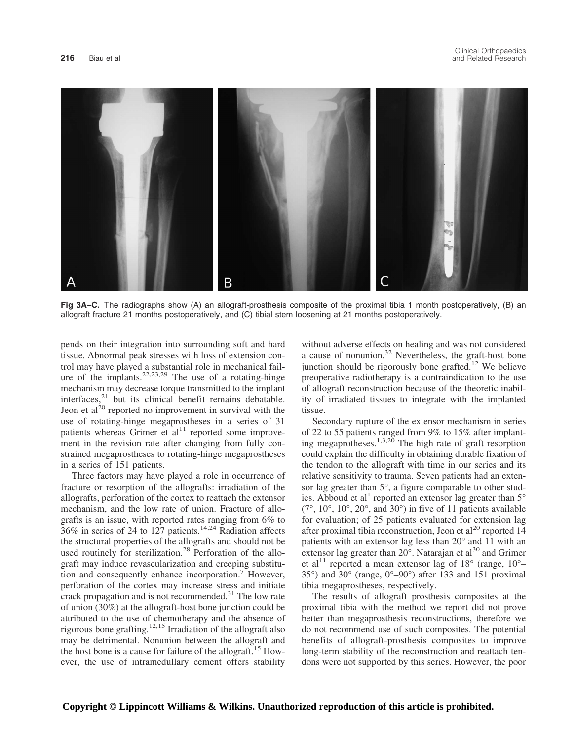

**Fig 3A–C.** The radiographs show (A) an allograft-prosthesis composite of the proximal tibia 1 month postoperatively, (B) an allograft fracture 21 months postoperatively, and (C) tibial stem loosening at 21 months postoperatively.

pends on their integration into surrounding soft and hard tissue. Abnormal peak stresses with loss of extension control may have played a substantial role in mechanical failure of the implants.<sup>22,23,29</sup> The use of a rotating-hinge mechanism may decrease torque transmitted to the implant  $interfaces$ <sup>21</sup> but its clinical benefit remains debatable. Jeon et  $al^{20}$  reported no improvement in survival with the use of rotating-hinge megaprostheses in a series of 31 patients whereas Grimer et  $al<sup>11</sup>$  reported some improvement in the revision rate after changing from fully constrained megaprostheses to rotating-hinge megaprostheses in a series of 151 patients.

Three factors may have played a role in occurrence of fracture or resorption of the allografts: irradiation of the allografts, perforation of the cortex to reattach the extensor mechanism, and the low rate of union. Fracture of allografts is an issue, with reported rates ranging from 6% to  $36\%$  in series of 24 to 127 patients.<sup>14,24</sup> Radiation affects the structural properties of the allografts and should not be used routinely for sterilization.<sup>28</sup> Perforation of the allograft may induce revascularization and creeping substitution and consequently enhance incorporation.<sup>7</sup> However, perforation of the cortex may increase stress and initiate crack propagation and is not recommended. $31$  The low rate of union (30%) at the allograft-host bone junction could be attributed to the use of chemotherapy and the absence of rigorous bone grafting.12,15 Irradiation of the allograft also may be detrimental. Nonunion between the allograft and the host bone is a cause for failure of the allograft.<sup>15</sup> However, the use of intramedullary cement offers stability without adverse effects on healing and was not considered a cause of nonunion.<sup>32</sup> Nevertheless, the graft-host bone junction should be rigorously bone grafted.<sup>12</sup> We believe preoperative radiotherapy is a contraindication to the use of allograft reconstruction because of the theoretic inability of irradiated tissues to integrate with the implanted tissue.

Secondary rupture of the extensor mechanism in series of 22 to 55 patients ranged from 9% to 15% after implanting megaprotheses.<sup>1,3,20</sup> The high rate of graft resorption could explain the difficulty in obtaining durable fixation of the tendon to the allograft with time in our series and its relative sensitivity to trauma. Seven patients had an extensor lag greater than 5°, a figure comparable to other studies. Abboud et al<sup>1</sup> reported an extensor lag greater than  $5^\circ$  $(7^{\circ}, 10^{\circ}, 10^{\circ}, 20^{\circ}, \text{ and } 30^{\circ})$  in five of 11 patients available for evaluation; of 25 patients evaluated for extension lag after proximal tibia reconstruction, Jeon et al<sup>20</sup> reported 14 patients with an extensor lag less than 20° and 11 with an extensor lag greater than  $20^{\circ}$ . Natarajan et al<sup>30</sup> and Grimer et al<sup>11</sup> reported a mean extensor lag of 18 $^{\circ}$  (range, 10 $^{\circ}$ -35°) and 30° (range, 0°–90°) after 133 and 151 proximal tibia megaprostheses, respectively.

The results of allograft prosthesis composites at the proximal tibia with the method we report did not prove better than megaprosthesis reconstructions, therefore we do not recommend use of such composites. The potential benefits of allograft-prosthesis composites to improve long-term stability of the reconstruction and reattach tendons were not supported by this series. However, the poor